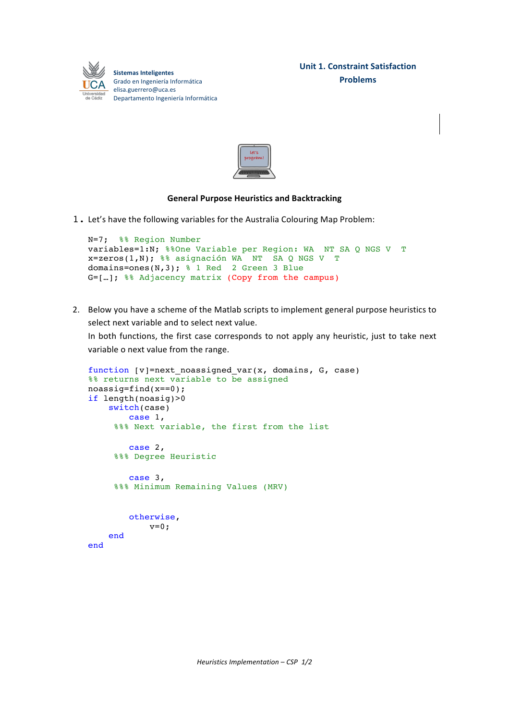



## **General Purpose Heuristics and Backtracking**

1. Let's have the following variables for the Australia Colouring Map Problem:

```
N=7; %% Region Number
 variables=1:N; %%One Variable per Region: WA NT SA Q NGS V T 
x=zeros(1,N); %% asignación WA NT SA Q NGS V T 
domains=ones(N,3); % 1 Red 2 Green 3 Blue
G=[…]; %% Adjacency matrix (Copy from the campus)
```
2. Below you have a scheme of the Matlab scripts to implement general purpose heuristics to select next variable and to select next value.

In both functions, the first case corresponds to not apply any heuristic, just to take next variable o next value from the range.

```
function [v]=next_noassigned_var(x, domains, G, case)
%% returns next variable to be assigned
noassig=find(x==0);
if length(noasig)>0
     switch(case)
         case 1,
     %%% Next variable, the first from the list
         case 2,
      %%% Degree Heuristic
         case 3,
      %%% Minimum Remaining Values (MRV)
         otherwise,
            v=0; end
end
```